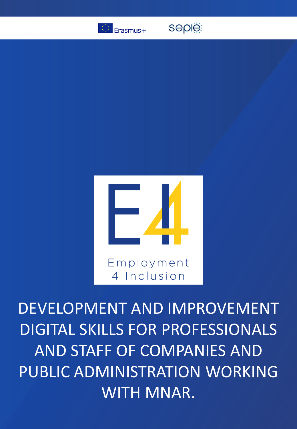

**seple:** 



DEVELOPMENT AND IMPROVEMENT DIGITAL SKILLS FOR PROFESSIONALS AND STAFF OF COMPANIES AND PUBLIC ADMINISTRATION WORKING WITH MNAR.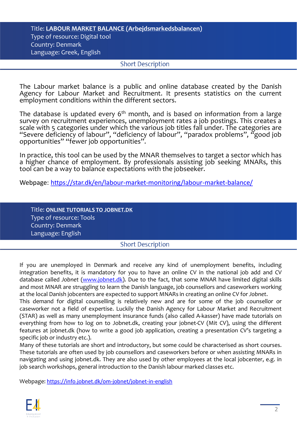## Title: **LABOUR MARKET BALANCE (Arbejdsmarkedsbalancen)** Type of resource: Digital tool Country: Denmark Language: Greek, English

## **Short Description**

The Labour market balance is a public and online database created by the Danish Agency for Labour Market and Recruitment. It presents statistics on the current employment conditions within the different sectors.

The database is updated every 6<sup>th</sup> month, and is based on information from a large survey on recruitment experiences, unemployment rates a job postings. This creates a scale with 5 categories under which the various job titles fall under. The categories are "Severe deficiency of labour", "deficiency of labour", "paradox problems", "good job opportunities" "fewer job opportunities".

In practice, this tool can be used by the MNAR themselves to target a sector which has a higher chance of employment. By professionals assisting job seeking MNARs, this tool can be a way to balance expectations with the jobseeker.

Webpage: <https://star.dk/en/labour-market-monitoring/labour-market-balance/>

Title: **ONLINE TUTORIALS TO JOBNET.DK** Type of resource: Tools Country: Denmark Language: English

## **Short Description**

If you are unemployed in Denmark and receive any kind of unemployment benefits, including integration benefits, it is mandatory for you to have an online CV in the national job add and CV database called *Jobnet* [\(www.jobnet.dk\)](http://www.jobnet.dk/). Due to the fact, that some MNAR have limited digital skills and most MNAR are struggling to learn the Danish language, job counsellors and caseworkers working at the local Danish jobcenters are expected to support MNARs in creating an online CV for *Jobnet*.

This demand for digital counselling is relatively new and are for some of the job counsellor or caseworker not a field of expertise. Luckily the Danish Agency for Labour Market and Recruitment (STAR) as well as many unemployment insurance funds (also called A-kasser) have made tutorials on everything from how to log on to Jobnet.dk, creating your jobnet-CV (Mit CV), using the different features at jobnet.dk (how to write a good job application, creating a presentation CV's targeting a specific job or industry etc.).

Many of these tutorials are short and introductory, but some could be characterised as short courses. These tutorials are often used by job counsellors and caseworkers before or when assisting MNARs in navigating and using jobnet.dk. They are also used by other employees at the local jobcenter, e.g. in job search workshops, general introduction to the Danish labour marked classes etc.

Webpage: <https://info.jobnet.dk/om-jobnet/jobnet-in-english>